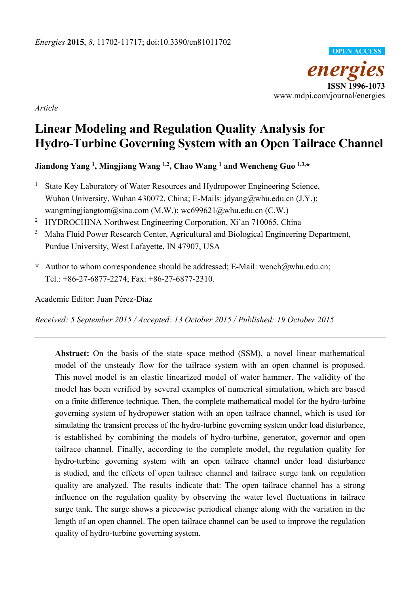

*Article* 

# **Linear Modeling and Regulation Quality Analysis for Hydro-Turbine Governing System with an Open Tailrace Channel**

**Jiandong Yang 1, Mingjiang Wang 1,2, Chao Wang 1 and Wencheng Guo 1,3,\*** 

- <sup>1</sup> State Key Laboratory of Water Resources and Hydropower Engineering Science, Wuhan University, Wuhan 430072, China; E-Mails: jdyang@whu.edu.cn (J.Y.); wangmingjiangtom@sina.com (M.W.); wc699621@whu.edu.cn (C.W.)
- <sup>2</sup> HYDROCHINA Northwest Engineering Corporation, Xi'an 710065, China
- 3 Maha Fluid Power Research Center, Agricultural and Biological Engineering Department, Purdue University, West Lafayette, IN 47907, USA
- **\*** Author to whom correspondence should be addressed; E-Mail: wench@whu.edu.cn; Tel.: +86-27-6877-2274; Fax: +86-27-6877-2310.

Academic Editor: Juan Pérez-Díaz

*Received: 5 September 2015 / Accepted: 13 October 2015 / Published: 19 October 2015* 

**Abstract:** On the basis of the state–space method (SSM), a novel linear mathematical model of the unsteady flow for the tailrace system with an open channel is proposed. This novel model is an elastic linearized model of water hammer. The validity of the model has been verified by several examples of numerical simulation, which are based on a finite difference technique. Then, the complete mathematical model for the hydro-turbine governing system of hydropower station with an open tailrace channel, which is used for simulating the transient process of the hydro-turbine governing system under load disturbance, is established by combining the models of hydro-turbine, generator, governor and open tailrace channel. Finally, according to the complete model, the regulation quality for hydro-turbine governing system with an open tailrace channel under load disturbance is studied, and the effects of open tailrace channel and tailrace surge tank on regulation quality are analyzed. The results indicate that: The open tailrace channel has a strong influence on the regulation quality by observing the water level fluctuations in tailrace surge tank. The surge shows a piecewise periodical change along with the variation in the length of an open channel. The open tailrace channel can be used to improve the regulation quality of hydro-turbine governing system.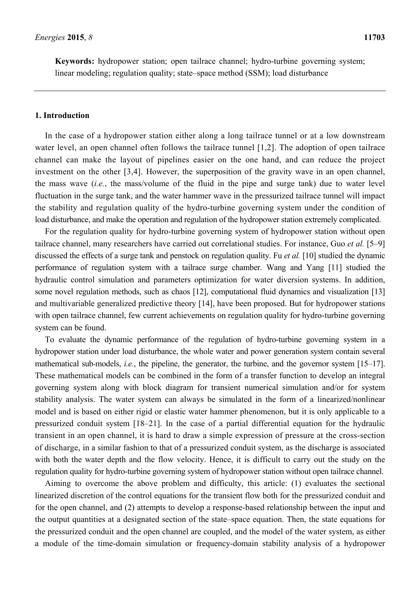**Keywords:** hydropower station; open tailrace channel; hydro-turbine governing system; linear modeling; regulation quality; state–space method (SSM); load disturbance

#### **1. Introduction**

In the case of a hydropower station either along a long tailrace tunnel or at a low downstream water level, an open channel often follows the tailrace tunnel [1,2]. The adoption of open tailrace channel can make the layout of pipelines easier on the one hand, and can reduce the project investment on the other [3,4]. However, the superposition of the gravity wave in an open channel, the mass wave (*i.e.*, the mass/volume of the fluid in the pipe and surge tank) due to water level fluctuation in the surge tank, and the water hammer wave in the pressurized tailrace tunnel will impact the stability and regulation quality of the hydro-turbine governing system under the condition of load disturbance, and make the operation and regulation of the hydropower station extremely complicated.

For the regulation quality for hydro-turbine governing system of hydropower station without open tailrace channel, many researchers have carried out correlational studies. For instance, Guo *et al.* [5–9] discussed the effects of a surge tank and penstock on regulation quality. Fu *et al.* [10] studied the dynamic performance of regulation system with a tailrace surge chamber. Wang and Yang [11] studied the hydraulic control simulation and parameters optimization for water diversion systems. In addition, some novel regulation methods, such as chaos [12], computational fluid dynamics and visualization [13] and multivariable generalized predictive theory [14], have been proposed. But for hydropower stations with open tailrace channel, few current achievements on regulation quality for hydro-turbine governing system can be found.

To evaluate the dynamic performance of the regulation of hydro-turbine governing system in a hydropower station under load disturbance, the whole water and power generation system contain several mathematical sub-models, *i.e.*, the pipeline, the generator, the turbine, and the governor system [15–17]. These mathematical models can be combined in the form of a transfer function to develop an integral governing system along with block diagram for transient numerical simulation and/or for system stability analysis. The water system can always be simulated in the form of a linearized/nonlinear model and is based on either rigid or elastic water hammer phenomenon, but it is only applicable to a pressurized conduit system [18–21]. In the case of a partial differential equation for the hydraulic transient in an open channel, it is hard to draw a simple expression of pressure at the cross-section of discharge, in a similar fashion to that of a pressurized conduit system, as the discharge is associated with both the water depth and the flow velocity. Hence, it is difficult to carry out the study on the regulation quality for hydro-turbine governing system of hydropower station without open tailrace channel.

Aiming to overcome the above problem and difficulty, this article: (1) evaluates the sectional linearized discretion of the control equations for the transient flow both for the pressurized conduit and for the open channel, and (2) attempts to develop a response-based relationship between the input and the output quantities at a designated section of the state–space equation. Then, the state equations for the pressurized conduit and the open channel are coupled, and the model of the water system, as either a module of the time-domain simulation or frequency-domain stability analysis of a hydropower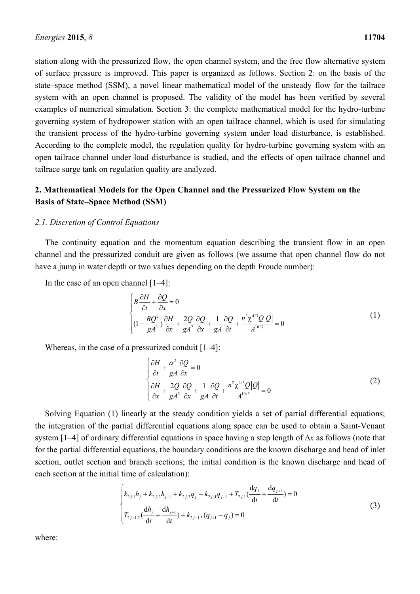station along with the pressurized flow, the open channel system, and the free flow alternative system of surface pressure is improved. This paper is organized as follows. Section 2: on the basis of the state–space method (SSM), a novel linear mathematical model of the unsteady flow for the tailrace system with an open channel is proposed. The validity of the model has been verified by several examples of numerical simulation. Section 3: the complete mathematical model for the hydro-turbine governing system of hydropower station with an open tailrace channel, which is used for simulating the transient process of the hydro-turbine governing system under load disturbance, is established. According to the complete model, the regulation quality for hydro-turbine governing system with an open tailrace channel under load disturbance is studied, and the effects of open tailrace channel and tailrace surge tank on regulation quality are analyzed.

# **2. Mathematical Models for the Open Channel and the Pressurized Flow System on the Basis of State–Space Method (SSM)**

#### *2.1. Discretion of Control Equations*

The continuity equation and the momentum equation describing the transient flow in an open channel and the pressurized conduit are given as follows (we assume that open channel flow do not have a jump in water depth or two values depending on the depth Froude number):

In the case of an open channel [1–4]:

$$
\begin{cases}\nB\frac{\partial H}{\partial t} + \frac{\partial Q}{\partial x} = 0 \\
(1 - \frac{BQ^2}{gA^3})\frac{\partial H}{\partial x} + \frac{2Q}{gA^2}\frac{\partial Q}{\partial x} + \frac{1}{gA}\frac{\partial Q}{\partial t} + \frac{n^2\chi^{4/3}Q|Q|}{A^{10/3}} = 0\n\end{cases}
$$
\n(1)

Whereas, in the case of a pressurized conduit [1–4]:

$$
\begin{cases}\n\frac{\partial H}{\partial t} + \frac{\alpha^2}{gA} \frac{\partial Q}{\partial x} = 0 \\
\frac{\partial H}{\partial x} + \frac{2Q}{gA^2} \frac{\partial Q}{\partial x} + \frac{1}{gA} \frac{\partial Q}{\partial t} + \frac{n^2 \chi^{4/3} Q |Q|}{A^{10/3}} = 0\n\end{cases}
$$
\n(2)

Solving Equation (1) linearly at the steady condition yields a set of partial differential equations; the integration of the partial differential equations along space can be used to obtain a Saint-Venant system [1–4] of ordinary differential equations in space having a step length of  $\Delta x$  as follows (note that for the partial differential equations, the boundary conditions are the known discharge and head of inlet section, outlet section and branch sections; the initial condition is the known discharge and head of each section at the initial time of calculation):

$$
\begin{cases}\nk_{2j,1}h_j + k_{2j,2}h_{j+1} + k_{2j,3}q_j + k_{2j,4}q_{j+1} + T_{2j,1}(\frac{dq_j}{dt} + \frac{dq_{j+1}}{dt}) = 0 \\
T_{2j+1,2}(\frac{dh_j}{dt} + \frac{dh_{j+1}}{dt}) + k_{2j+1,5}(q_{j+1} - q_j) = 0\n\end{cases}
$$
\n(3)

where: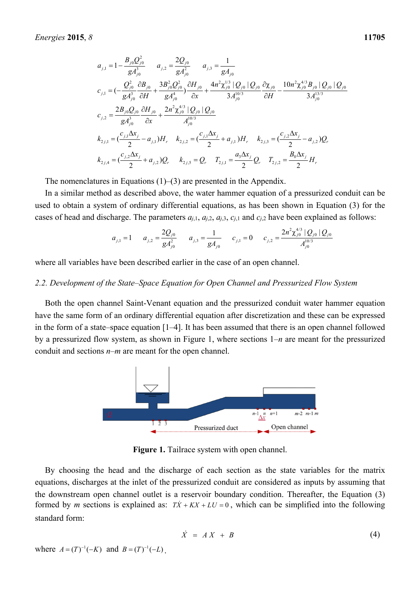$$
a_{j,1} = 1 - \frac{B_{j0}Q_{j0}^2}{gA_{j0}^3} \t a_{j,2} = \frac{2Q_{j0}}{gA_{j0}^2} \t a_{j,3} = \frac{1}{gA_{j0}}
$$
  
\n
$$
c_{j,1} = \left(-\frac{Q_{j0}^2}{gA_{j0}^3}\frac{\partial B_{j0}}{\partial H} + \frac{3B_{j0}^2Q_{j0}^2}{gA_{j0}^4}\frac{\partial H_{j0}}{\partial x} + \frac{4n^2\chi_{j0}^{1/3} |Q_{j0}|Q_{j0} Q_{j0}}{3A_{j0}^{10/3}}\frac{\partial \chi_{j0}}{\partial H} - \frac{10n^2\chi_{j0}^{4/3}B_{j0} |Q_{j0}|Q_{j0}}{3A_{j0}^{13/3}}\right)
$$
  
\n
$$
c_{j,2} = \frac{2B_{j0}Q_{j0}}{gA_{j0}^3}\frac{\partial H_{j0}}{\partial x} + \frac{2n^2\chi_{j0}^{4/3} |Q_{j0}|Q_{j0}}{A_{j0}^{10/3}}
$$
  
\n
$$
k_{2j,1} = \left(\frac{c_{j,1}\Delta x_j}{2} - a_{j,1}\right)H_r \t k_{2j,2} = \left(\frac{c_{j,1}\Delta x_j}{2} + a_{j,1}\right)H_r \t k_{2j,3} = \left(\frac{c_{j,2}\Delta x_j}{2} - a_{j,2}\right)Q_r
$$
  
\n
$$
k_{2j,4} = \left(\frac{c_{j,2}\Delta x_j}{2} + a_{j,2}\right)Q_r \t k_{2j,5} = Q_r \t T_{2j,1} = \frac{a_3\Delta x_j}{2}Q_r \t T_{2j,2} = \frac{B_0\Delta x_j}{2}H_r
$$

The nomenclatures in Equations (1)–(3) are presented in the Appendix.

In a similar method as described above, the water hammer equation of a pressurized conduit can be used to obtain a system of ordinary differential equations, as has been shown in Equation (3) for the cases of head and discharge. The parameters  $a_{i,1}$ ,  $a_{i,2}$ ,  $a_{i,3}$ ,  $c_{i,1}$  and  $c_{i,2}$  have been explained as follows:

$$
a_{j,1} = 1 \qquad a_{j,2} = \frac{2Q_{j0}}{gA_{j0}^2} \qquad a_{j,3} = \frac{1}{gA_{j0}} \qquad c_{j,1} = 0 \qquad c_{j,2} = \frac{2n^2\chi_{j0}^{4/3} |Q_{j0}| Q_{j0}}{A_{j0}^{10/3}}
$$

where all variables have been described earlier in the case of an open channel.

#### *2.2. Development of the State–Space Equation for Open Channel and Pressurized Flow System*

Both the open channel Saint-Venant equation and the pressurized conduit water hammer equation have the same form of an ordinary differential equation after discretization and these can be expressed in the form of a state–space equation [1–4]. It has been assumed that there is an open channel followed by a pressurized flow system, as shown in Figure 1, where sections 1–*n* are meant for the pressurized conduit and sections *n*–*m* are meant for the open channel.



**Figure 1.** Tailrace system with open channel.

By choosing the head and the discharge of each section as the state variables for the matrix equations, discharges at the inlet of the pressurized conduit are considered as inputs by assuming that the downstream open channel outlet is a reservoir boundary condition. Thereafter, the Equation (3) formed by *m* sections is explained as:  $T\dot{X} + KX + LU = 0$ , which can be simplified into the following standard form:

$$
\dot{X} = AX + B \tag{4}
$$

where  $A = (T)^{-1}(-K)$  and  $B = (T)^{-1}(-L)$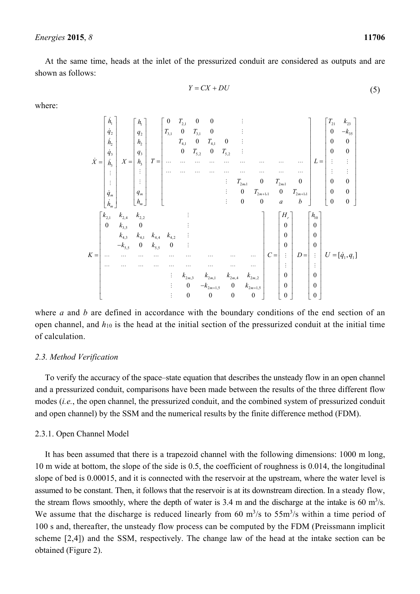At the same time, heads at the inlet of the pressurized conduit are considered as outputs and are shown as follows:

$$
Y = CX + DU \tag{5}
$$

where:

1 2 2 3 3 *m m h q h q X h q h* & & & & & & Μ Μ & & 1 2 2 3 3 *m m h q h q X h q h* Μ Μ 2,1 3,1 3,1 4,1 4,1 5,2 5,2 21 21 2 11 2 11 0 00 0 0 0 0 0 0 0 0 0 0 0 0 *m m m m T T T T T T T T T T T T a b* Μ Μ Μ Μ ΛΛΛΛΛ Λ Λ Λ Λ ΛΛΛΛΛ Λ Λ Λ Λ Μ Μ Μ , , , , 21 23 <sup>35</sup> 0 0 0 0 0 0 0 0 0 0 0 *T k k L* Μ Μ Μ Μ 2,1 2,4 2,2 3,5 4,3 4,1 4,4 4,2 5,5 5,5 2 ,3 2 ,1 2 ,4 2 ,2 2 1,5 2 1,5 0 0 0 0 0 0 0 0 00 *m m mm m m kkk k k kkk k k K k k kk k k* Μ Μ Μ Μ Λ Λ ΛΛΛ Λ Λ Λ Λ Λ Λ ΛΛΛ Λ Λ Λ Λ Μ Μ Μ 0 0 0 0 0 0 *Hr C* Μ Μ 10 0 0 0 0 0 0 *h D* Μ Μ 1 1 *U qq* [,] &

where *a* and *b* are defined in accordance with the boundary conditions of the end section of an open channel, and *h*10 is the head at the initial section of the pressurized conduit at the initial time of calculation.

#### *2.3. Method Verification*

To verify the accuracy of the space–state equation that describes the unsteady flow in an open channel and a pressurized conduit, comparisons have been made between the results of the three different flow modes (*i.e.*, the open channel, the pressurized conduit, and the combined system of pressurized conduit and open channel) by the SSM and the numerical results by the finite difference method (FDM).

#### 2.3.1. Open Channel Model

It has been assumed that there is a trapezoid channel with the following dimensions: 1000 m long, 10 m wide at bottom, the slope of the side is 0.5, the coefficient of roughness is 0.014, the longitudinal slope of bed is 0.00015, and it is connected with the reservoir at the upstream, where the water level is assumed to be constant. Then, it follows that the reservoir is at its downstream direction. In a steady flow, the stream flows smoothly, where the depth of water is 3.4 m and the discharge at the intake is 60  $m<sup>3</sup>/s$ . We assume that the discharge is reduced linearly from 60  $\text{m}^3\text{/s}$  to 55 $\text{m}^3\text{/s}$  within a time period of 100 s and, thereafter, the unsteady flow process can be computed by the FDM (Preissmann implicit scheme [2,4]) and the SSM, respectively. The change law of the head at the intake section can be obtained (Figure 2).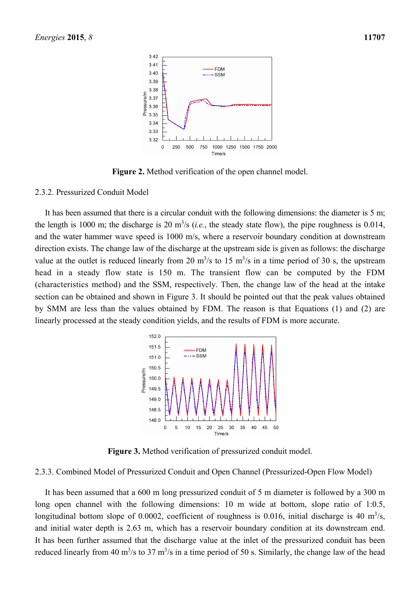

**Figure 2.** Method verification of the open channel model.

#### 2.3.2. Pressurized Conduit Model

It has been assumed that there is a circular conduit with the following dimensions: the diameter is 5 m; the length is 1000 m; the discharge is 20  $\text{m}^3$ /s (*i.e.*, the steady state flow), the pipe roughness is 0.014, and the water hammer wave speed is 1000 m/s, where a reservoir boundary condition at downstream direction exists. The change law of the discharge at the upstream side is given as follows: the discharge value at the outlet is reduced linearly from 20  $\text{m}^3/\text{s}$  to 15  $\text{m}^3/\text{s}$  in a time period of 30 s, the upstream head in a steady flow state is 150 m. The transient flow can be computed by the FDM (characteristics method) and the SSM, respectively. Then, the change law of the head at the intake section can be obtained and shown in Figure 3. It should be pointed out that the peak values obtained by SMM are less than the values obtained by FDM. The reason is that Equations (1) and (2) are linearly processed at the steady condition yields, and the results of FDM is more accurate.



**Figure 3.** Method verification of pressurized conduit model.

# 2.3.3. Combined Model of Pressurized Conduit and Open Channel (Pressurized-Open Flow Model)

It has been assumed that a 600 m long pressurized conduit of 5 m diameter is followed by a 300 m long open channel with the following dimensions: 10 m wide at bottom, slope ratio of 1:0.5, longitudinal bottom slope of 0.0002, coefficient of roughness is 0.016, initial discharge is 40  $m<sup>3</sup>/s$ , and initial water depth is 2.63 m, which has a reservoir boundary condition at its downstream end. It has been further assumed that the discharge value at the inlet of the pressurized conduit has been reduced linearly from 40  $\text{m}^3/\text{s}$  to 37  $\text{m}^3/\text{s}$  in a time period of 50 s. Similarly, the change law of the head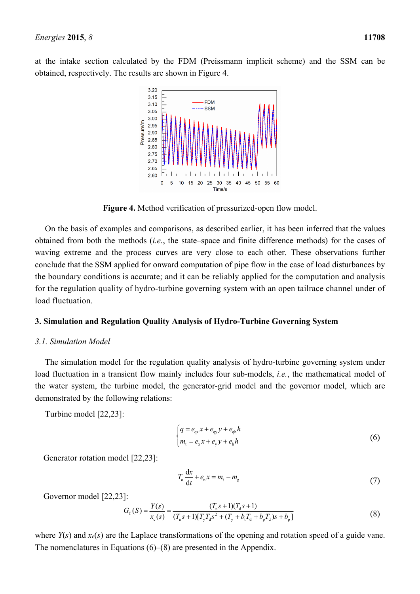at the intake section calculated by the FDM (Preissmann implicit scheme) and the SSM can be obtained, respectively. The results are shown in Figure 4.



**Figure 4.** Method verification of pressurized-open flow model.

On the basis of examples and comparisons, as described earlier, it has been inferred that the values obtained from both the methods (*i.e.*, the state–space and finite difference methods) for the cases of waving extreme and the process curves are very close to each other. These observations further conclude that the SSM applied for onward computation of pipe flow in the case of load disturbances by the boundary conditions is accurate; and it can be reliably applied for the computation and analysis for the regulation quality of hydro-turbine governing system with an open tailrace channel under of load fluctuation.

# **3. Simulation and Regulation Quality Analysis of Hydro-Turbine Governing System**

# *3.1. Simulation Model*

The simulation model for the regulation quality analysis of hydro-turbine governing system under load fluctuation in a transient flow mainly includes four sub-models, *i.e.*, the mathematical model of the water system, the turbine model, the generator-grid model and the governor model, which are demonstrated by the following relations:

Turbine model [22,23]:

$$
\begin{cases}\n q = e_{\text{qx}} x + e_{\text{qy}} y + e_{\text{qh}} h \\
 m_t = e_{\text{x}} x + e_{\text{y}} y + e_{\text{h}} h\n\end{cases}
$$
\n(6)

Generator rotation model [22,23]:

$$
T_{\rm a} \frac{\mathrm{d}x}{\mathrm{d}t} + e_{\rm n} x = m_{\rm t} - m_{\rm g} \tag{7}
$$

Governor model [22,23]:

$$
G_{\rm T}(S) = \frac{Y(s)}{x_{\rm c}(s)} = \frac{(T_{\rm n}s + 1)(T_{\rm d}s + 1)}{(T_{\rm n}s + 1)[T_{\rm y}T_{\rm d}s^2 + (T_{\rm y} + b_{\rm t}T_{\rm d} + b_{\rm p}T_{\rm d})s + b_{\rm p}]}
$$
(8)

where *Y*(*s*) and *x*c(*s*) are the Laplace transformations of the opening and rotation speed of a guide vane. The nomenclatures in Equations (6)–(8) are presented in the Appendix.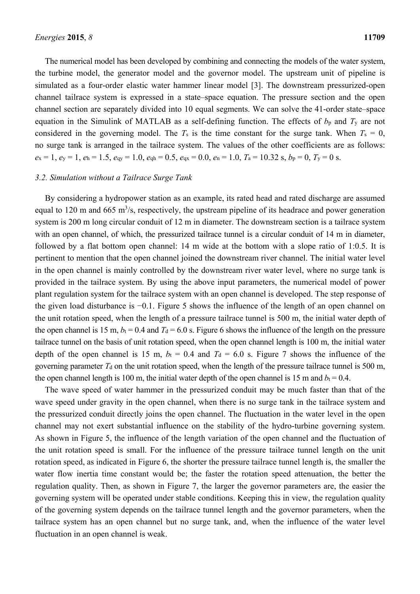The numerical model has been developed by combining and connecting the models of the water system, the turbine model, the generator model and the governor model. The upstream unit of pipeline is simulated as a four-order elastic water hammer linear model [3]. The downstream pressurized-open channel tailrace system is expressed in a state–space equation. The pressure section and the open channel section are separately divided into 10 equal segments. We can solve the 41-order state–space equation in the Simulink of MATLAB as a self-defining function. The effects of  $b<sub>p</sub>$  and  $T<sub>y</sub>$  are not considered in the governing model. The  $T_s$  is the time constant for the surge tank. When  $T_s = 0$ , no surge tank is arranged in the tailrace system. The values of the other coefficients are as follows:  $e_x = 1$ ,  $e_y = 1$ ,  $e_h = 1.5$ ,  $e_{qv} = 1.0$ ,  $e_{qh} = 0.5$ ,  $e_{qx} = 0.0$ ,  $e_n = 1.0$ ,  $T_a = 10.32$  s,  $b_p = 0$ ,  $T_y = 0$  s.

#### *3.2. Simulation without a Tailrace Surge Tank*

By considering a hydropower station as an example, its rated head and rated discharge are assumed equal to 120 m and 665 m<sup>3</sup>/s, respectively, the upstream pipeline of its headrace and power generation system is 200 m long circular conduit of 12 m in diameter. The downstream section is a tailrace system with an open channel, of which, the pressurized tailrace tunnel is a circular conduit of 14 m in diameter, followed by a flat bottom open channel: 14 m wide at the bottom with a slope ratio of 1:0.5. It is pertinent to mention that the open channel joined the downstream river channel. The initial water level in the open channel is mainly controlled by the downstream river water level, where no surge tank is provided in the tailrace system. By using the above input parameters, the numerical model of power plant regulation system for the tailrace system with an open channel is developed. The step response of the given load disturbance is −0.1. Figure 5 shows the influence of the length of an open channel on the unit rotation speed, when the length of a pressure tailrace tunnel is 500 m, the initial water depth of the open channel is 15 m,  $b_t$  = 0.4 and  $T_d$  = 6.0 s. Figure 6 shows the influence of the length on the pressure tailrace tunnel on the basis of unit rotation speed, when the open channel length is 100 m, the initial water depth of the open channel is 15 m,  $b_t = 0.4$  and  $T_d = 6.0$  s. Figure 7 shows the influence of the governing parameter  $T_d$  on the unit rotation speed, when the length of the pressure tailrace tunnel is 500 m, the open channel length is 100 m, the initial water depth of the open channel is 15 m and  $b_t = 0.4$ .

The wave speed of water hammer in the pressurized conduit may be much faster than that of the wave speed under gravity in the open channel, when there is no surge tank in the tailrace system and the pressurized conduit directly joins the open channel. The fluctuation in the water level in the open channel may not exert substantial influence on the stability of the hydro-turbine governing system. As shown in Figure 5, the influence of the length variation of the open channel and the fluctuation of the unit rotation speed is small. For the influence of the pressure tailrace tunnel length on the unit rotation speed, as indicated in Figure 6, the shorter the pressure tailrace tunnel length is, the smaller the water flow inertia time constant would be; the faster the rotation speed attenuation, the better the regulation quality. Then, as shown in Figure 7, the larger the governor parameters are, the easier the governing system will be operated under stable conditions. Keeping this in view, the regulation quality of the governing system depends on the tailrace tunnel length and the governor parameters, when the tailrace system has an open channel but no surge tank, and, when the influence of the water level fluctuation in an open channel is weak.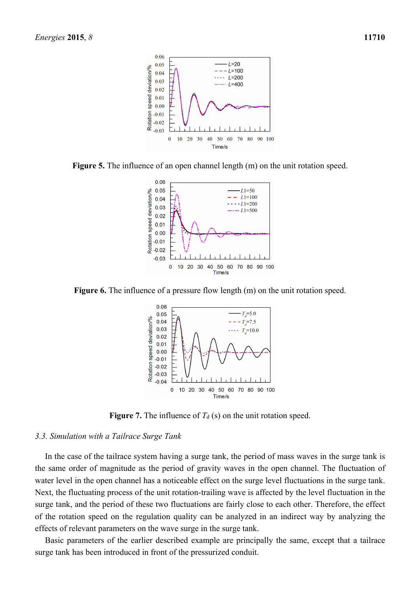

**Figure 5.** The influence of an open channel length (m) on the unit rotation speed.



**Figure 6.** The influence of a pressure flow length (m) on the unit rotation speed.



**Figure 7.** The influence of  $T_d$  (s) on the unit rotation speed.

#### *3.3. Simulation with a Tailrace Surge Tank*

In the case of the tailrace system having a surge tank, the period of mass waves in the surge tank is the same order of magnitude as the period of gravity waves in the open channel. The fluctuation of water level in the open channel has a noticeable effect on the surge level fluctuations in the surge tank. Next, the fluctuating process of the unit rotation-trailing wave is affected by the level fluctuation in the surge tank, and the period of these two fluctuations are fairly close to each other. Therefore, the effect of the rotation speed on the regulation quality can be analyzed in an indirect way by analyzing the effects of relevant parameters on the wave surge in the surge tank.

Basic parameters of the earlier described example are principally the same, except that a tailrace surge tank has been introduced in front of the pressurized conduit.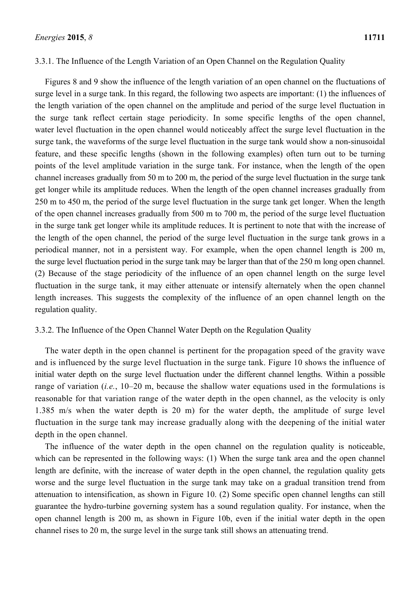# 3.3.1. The Influence of the Length Variation of an Open Channel on the Regulation Quality

Figures 8 and 9 show the influence of the length variation of an open channel on the fluctuations of surge level in a surge tank. In this regard, the following two aspects are important: (1) the influences of the length variation of the open channel on the amplitude and period of the surge level fluctuation in the surge tank reflect certain stage periodicity. In some specific lengths of the open channel, water level fluctuation in the open channel would noticeably affect the surge level fluctuation in the surge tank, the waveforms of the surge level fluctuation in the surge tank would show a non-sinusoidal feature, and these specific lengths (shown in the following examples) often turn out to be turning points of the level amplitude variation in the surge tank. For instance, when the length of the open channel increases gradually from 50 m to 200 m, the period of the surge level fluctuation in the surge tank get longer while its amplitude reduces. When the length of the open channel increases gradually from 250 m to 450 m, the period of the surge level fluctuation in the surge tank get longer. When the length of the open channel increases gradually from 500 m to 700 m, the period of the surge level fluctuation in the surge tank get longer while its amplitude reduces. It is pertinent to note that with the increase of the length of the open channel, the period of the surge level fluctuation in the surge tank grows in a periodical manner, not in a persistent way. For example, when the open channel length is 200 m, the surge level fluctuation period in the surge tank may be larger than that of the 250 m long open channel. (2) Because of the stage periodicity of the influence of an open channel length on the surge level fluctuation in the surge tank, it may either attenuate or intensify alternately when the open channel length increases. This suggests the complexity of the influence of an open channel length on the regulation quality.

# 3.3.2. The Influence of the Open Channel Water Depth on the Regulation Quality

The water depth in the open channel is pertinent for the propagation speed of the gravity wave and is influenced by the surge level fluctuation in the surge tank. Figure 10 shows the influence of initial water depth on the surge level fluctuation under the different channel lengths. Within a possible range of variation (*i.e.*, 10–20 m, because the shallow water equations used in the formulations is reasonable for that variation range of the water depth in the open channel, as the velocity is only 1.385 m/s when the water depth is 20 m) for the water depth, the amplitude of surge level fluctuation in the surge tank may increase gradually along with the deepening of the initial water depth in the open channel.

The influence of the water depth in the open channel on the regulation quality is noticeable, which can be represented in the following ways: (1) When the surge tank area and the open channel length are definite, with the increase of water depth in the open channel, the regulation quality gets worse and the surge level fluctuation in the surge tank may take on a gradual transition trend from attenuation to intensification, as shown in Figure 10. (2) Some specific open channel lengths can still guarantee the hydro-turbine governing system has a sound regulation quality. For instance, when the open channel length is 200 m, as shown in Figure 10b, even if the initial water depth in the open channel rises to 20 m, the surge level in the surge tank still shows an attenuating trend.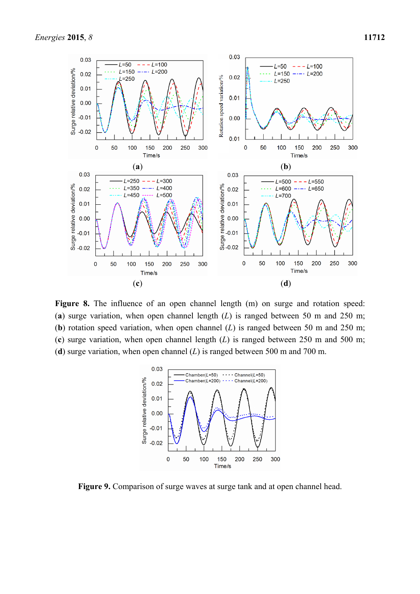

Figure 8. The influence of an open channel length (m) on surge and rotation speed: (**a**) surge variation, when open channel length (*L*) is ranged between 50 m and 250 m; (**b**) rotation speed variation, when open channel (*L*) is ranged between 50 m and 250 m; (**c**) surge variation, when open channel length (*L*) is ranged between 250 m and 500 m; (**d**) surge variation, when open channel (*L*) is ranged between 500 m and 700 m.



**Figure 9.** Comparison of surge waves at surge tank and at open channel head.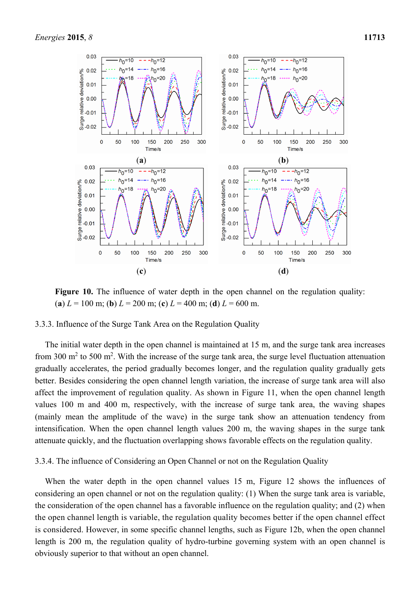

Figure 10. The influence of water depth in the open channel on the regulation quality: (**a**)  $L = 100$  m; (**b**)  $L = 200$  m; (**c**)  $L = 400$  m; (**d**)  $L = 600$  m.

## 3.3.3. Influence of the Surge Tank Area on the Regulation Quality

The initial water depth in the open channel is maintained at 15 m, and the surge tank area increases from 300  $\text{m}^2$  to 500  $\text{m}^2$ . With the increase of the surge tank area, the surge level fluctuation attenuation gradually accelerates, the period gradually becomes longer, and the regulation quality gradually gets better. Besides considering the open channel length variation, the increase of surge tank area will also affect the improvement of regulation quality. As shown in Figure 11, when the open channel length values 100 m and 400 m, respectively, with the increase of surge tank area, the waving shapes (mainly mean the amplitude of the wave) in the surge tank show an attenuation tendency from intensification. When the open channel length values 200 m, the waving shapes in the surge tank attenuate quickly, and the fluctuation overlapping shows favorable effects on the regulation quality.

3.3.4. The influence of Considering an Open Channel or not on the Regulation Quality

When the water depth in the open channel values 15 m, Figure 12 shows the influences of considering an open channel or not on the regulation quality: (1) When the surge tank area is variable, the consideration of the open channel has a favorable influence on the regulation quality; and (2) when the open channel length is variable, the regulation quality becomes better if the open channel effect is considered. However, in some specific channel lengths, such as Figure 12b, when the open channel length is 200 m, the regulation quality of hydro-turbine governing system with an open channel is obviously superior to that without an open channel.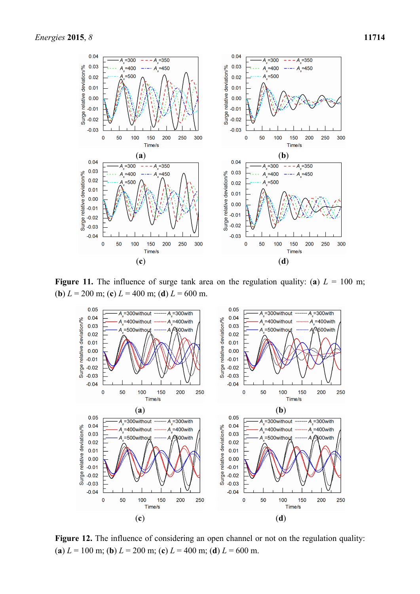

**Figure 11.** The influence of surge tank area on the regulation quality: (a)  $L = 100$  m; (**b**)  $L = 200$  m; (**c**)  $L = 400$  m; (**d**)  $L = 600$  m.



**Figure 12.** The influence of considering an open channel or not on the regulation quality: (**a**)  $L = 100$  m; (**b**)  $L = 200$  m; (**c**)  $L = 400$  m; (**d**)  $L = 600$  m.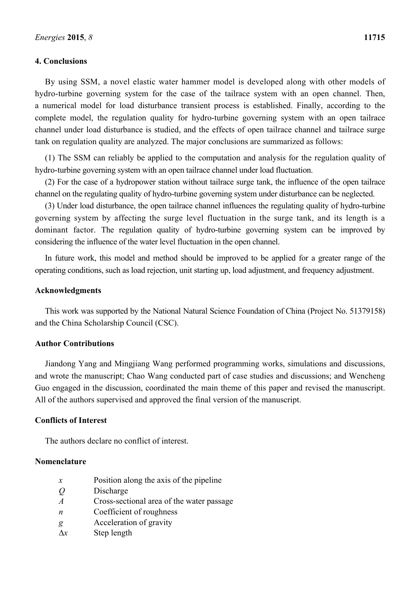# **4. Conclusions**

By using SSM, a novel elastic water hammer model is developed along with other models of hydro-turbine governing system for the case of the tailrace system with an open channel. Then, a numerical model for load disturbance transient process is established. Finally, according to the complete model, the regulation quality for hydro-turbine governing system with an open tailrace channel under load disturbance is studied, and the effects of open tailrace channel and tailrace surge tank on regulation quality are analyzed. The major conclusions are summarized as follows:

(1) The SSM can reliably be applied to the computation and analysis for the regulation quality of hydro-turbine governing system with an open tailrace channel under load fluctuation.

(2) For the case of a hydropower station without tailrace surge tank, the influence of the open tailrace channel on the regulating quality of hydro-turbine governing system under disturbance can be neglected.

(3) Under load disturbance, the open tailrace channel influences the regulating quality of hydro-turbine governing system by affecting the surge level fluctuation in the surge tank, and its length is a dominant factor. The regulation quality of hydro-turbine governing system can be improved by considering the influence of the water level fluctuation in the open channel.

In future work, this model and method should be improved to be applied for a greater range of the operating conditions, such as load rejection, unit starting up, load adjustment, and frequency adjustment.

#### **Acknowledgments**

This work was supported by the National Natural Science Foundation of China (Project No. 51379158) and the China Scholarship Council (CSC).

# **Author Contributions**

Jiandong Yang and Mingjiang Wang performed programming works, simulations and discussions, and wrote the manuscript; Chao Wang conducted part of case studies and discussions; and Wencheng Guo engaged in the discussion, coordinated the main theme of this paper and revised the manuscript. All of the authors supervised and approved the final version of the manuscript.

# **Conflicts of Interest**

The authors declare no conflict of interest.

#### **Nomenclature**

- *x* Position along the axis of the pipeline
- *Q* Discharge
- *A* Cross-sectional area of the water passage
- *n* Coefficient of roughness
- *g* Acceleration of gravity
- $\Delta x$  Step length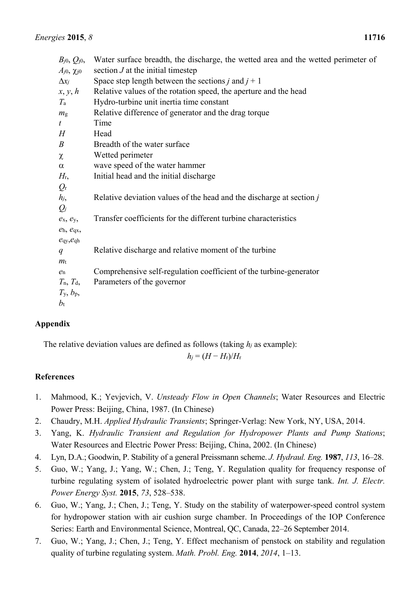| $B_{j0}$ , $Q_{j0}$ ,          | Water surface breadth, the discharge, the wetted area and the wetted perimeter of |
|--------------------------------|-----------------------------------------------------------------------------------|
| $A_{j0}$ , $\chi_{j0}$         | section $J$ at the initial timestep                                               |
| $\Delta x_i$                   | Space step length between the sections j and $j + 1$                              |
| x, y, h                        | Relative values of the rotation speed, the aperture and the head                  |
| $T_{\rm a}$                    | Hydro-turbine unit inertia time constant                                          |
| m <sub>g</sub>                 | Relative difference of generator and the drag torque                              |
| t                              | Time                                                                              |
| H                              | Head                                                                              |
| $\boldsymbol{B}$               | Breadth of the water surface                                                      |
| $\chi$                         | Wetted perimeter                                                                  |
| $\alpha$                       | wave speed of the water hammer                                                    |
| H <sub>r</sub>                 | Initial head and the initial discharge                                            |
| $Q_{\rm r}$                    |                                                                                   |
| $h_j$                          | Relative deviation values of the head and the discharge at section j              |
| $Q_j$                          |                                                                                   |
| $e_{x}, e_{y}$                 | Transfer coefficients for the different turbine characteristics                   |
| $e_h$ , $e_{qx}$ ,             |                                                                                   |
| $e_{\text{qy}}, e_{\text{qh}}$ |                                                                                   |
| q                              | Relative discharge and relative moment of the turbine                             |
| $m_{\rm t}$                    |                                                                                   |
| $e_{n}$                        | Comprehensive self-regulation coefficient of the turbine-generator                |
| $T_n$ , $T_d$ ,                | Parameters of the governor                                                        |
| $T_{\rm y}$ , $b_{\rm p}$ ,    |                                                                                   |
| $b_{\rm t}$                    |                                                                                   |

# **Appendix**

The relative deviation values are defined as follows (taking *hj* as example):

$$
h_j = (H - H_{\rm r})/H_{\rm r}
$$

# **References**

- 1. Mahmood, K.; Yevjevich, V. *Unsteady Flow in Open Channels*; Water Resources and Electric Power Press: Beijing, China, 1987. (In Chinese)
- 2. Chaudry, M.H. *Applied Hydraulic Transients*; Springer-Verlag: New York, NY, USA, 2014.
- 3. Yang, K. *Hydraulic Transient and Regulation for Hydropower Plants and Pump Stations*; Water Resources and Electric Power Press: Beijing, China, 2002. (In Chinese)
- 4. Lyn, D.A.; Goodwin, P. Stability of a general Preissmann scheme. *J. Hydraul. Eng.* **1987**, *113*, 16–28.
- 5. Guo, W.; Yang, J.; Yang, W.; Chen, J.; Teng, Y. Regulation quality for frequency response of turbine regulating system of isolated hydroelectric power plant with surge tank. *Int. J. Electr. Power Energy Syst.* **2015**, *73*, 528–538.
- 6. Guo, W.; Yang, J.; Chen, J.; Teng, Y. Study on the stability of waterpower-speed control system for hydropower station with air cushion surge chamber. In Proceedings of the IOP Conference Series: Earth and Environmental Science, Montreal, QC, Canada, 22–26 September 2014.
- 7. Guo, W.; Yang, J.; Chen, J.; Teng, Y. Effect mechanism of penstock on stability and regulation quality of turbine regulating system. *Math. Probl. Eng.* **2014**, *2014*, 1–13.